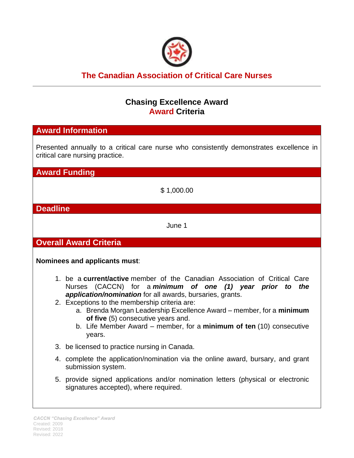

# **The Canadian Association of Critical Care Nurses**

# **Chasing Excellence Award Award Criteria**

## **Award Information**

Presented annually to a critical care nurse who consistently demonstrates excellence in critical care nursing practice.

**Award Funding**

\$ 1,000.00

### **Deadline**

June 1

**Overall Award Criteria**

**Nominees and applicants must**:

- 1. be a **current/active** member of the Canadian Association of Critical Care Nurses (CACCN) for a *minimum of one (1) year prior to the application/nomination* for all awards, bursaries, grants.
- 2. Exceptions to the membership criteria are:
	- a. Brenda Morgan Leadership Excellence Award member, for a **minimum of five** (5) consecutive years and.
	- b. Life Member Award member, for a **minimum of ten** (10) consecutive years.
- 3. be licensed to practice nursing in Canada.
- 4. complete the application/nomination via the online award, bursary, and grant submission system.
- 5. provide signed applications and/or nomination letters (physical or electronic signatures accepted), where required.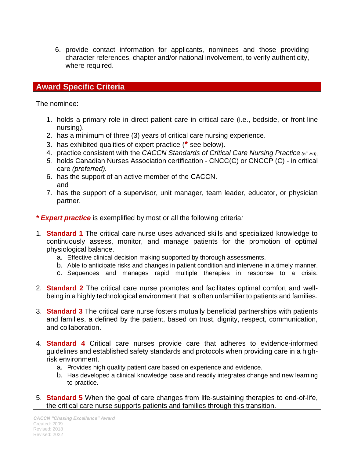6. provide contact information for applicants, nominees and those providing character references, chapter and/or national involvement, to verify authenticity, where required.

# **Award Specific Criteria**

The nominee:

- 1. holds a primary role in direct patient care in critical care (i.e., bedside, or front-line nursing).
- 2. has a minimum of three (3) years of critical care nursing experience.
- 3. has exhibited qualities of expert practice (**\*** see below).
- 4. practice consistent with the *CACCN Standards of Critical Care Nursing Practice* (5<sup>th</sup> Ed);
- *5.* holds Canadian Nurses Association certification CNCC(C) or CNCCP (C) in critical care *(preferred).*
- 6. has the support of an active member of the CACCN. and
- 7. has the support of a supervisor, unit manager, team leader, educator, or physician partner.
- *\* Expert practice* is exemplified by most or all the following criteria*:*
- 1. **Standard 1** The critical care nurse uses advanced skills and specialized knowledge to continuously assess, monitor, and manage patients for the promotion of optimal physiological balance.
	- a. Effective clinical decision making supported by thorough assessments.
	- b. Able to anticipate risks and changes in patient condition and intervene in a timely manner.
	- c. Sequences and manages rapid multiple therapies in response to a crisis.
- 2. **Standard 2** The critical care nurse promotes and facilitates optimal comfort and wellbeing in a highly technological environment that is often unfamiliar to patients and families.
- 3. **Standard 3** The critical care nurse fosters mutually beneficial partnerships with patients and families, a defined by the patient, based on trust, dignity, respect, communication, and collaboration.
- 4. **Standard 4** Critical care nurses provide care that adheres to evidence-informed guidelines and established safety standards and protocols when providing care in a highrisk environment.
	- a. Provides high quality patient care based on experience and evidence.
	- b. Has developed a clinical knowledge base and readily integrates change and new learning to practice.
- 5. **Standard 5** When the goal of care changes from life-sustaining therapies to end-of-life, the critical care nurse supports patients and families through this transition.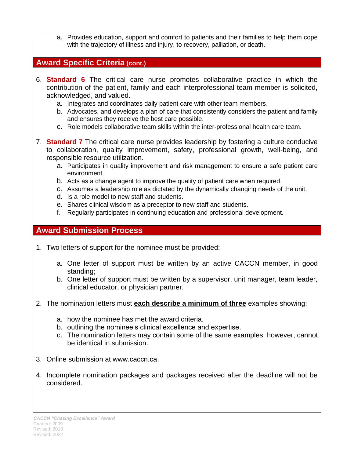a. Provides education, support and comfort to patients and their families to help them cope with the trajectory of illness and injury, to recovery, palliation, or death.

### **Award Specific Criteria (cont.)**

- 6. **Standard 6** The critical care nurse promotes collaborative practice in which the contribution of the patient, family and each interprofessional team member is solicited, acknowledged, and valued.
	- a. Integrates and coordinates daily patient care with other team members.
	- b. Advocates, and develops a plan of care that consistently considers the patient and family and ensures they receive the best care possible.
	- c. Role models collaborative team skills within the inter‐professional health care team.
- 7. **Standard 7** The critical care nurse provides leadership by fostering a culture conducive to collaboration, quality improvement, safety, professional growth, well-being, and responsible resource utilization.
	- a. Participates in quality improvement and risk management to ensure a safe patient care environment.
	- b. Acts as a change agent to improve the quality of patient care when required.
	- c. Assumes a leadership role as dictated by the dynamically changing needs of the unit.
	- d. Is a role model to new staff and students.
	- e. Shares clinical wisdom as a preceptor to new staff and students.
	- f. Regularly participates in continuing education and professional development.

### **Award Submission Process**

- 1. Two letters of support for the nominee must be provided:
	- a. One letter of support must be written by an active CACCN member, in good standing;
	- b. One letter of support must be written by a supervisor, unit manager, team leader, clinical educator, or physician partner.
- 2. The nomination letters must **each describe a minimum of three** examples showing:
	- a. how the nominee has met the award criteria.
	- b. outlining the nominee's clinical excellence and expertise.
	- c. The nomination letters may contain some of the same examples, however, cannot be identical in submission.
- 3. Online submission at www.caccn.ca.
- 4. Incomplete nomination packages and packages received after the deadline will not be considered.